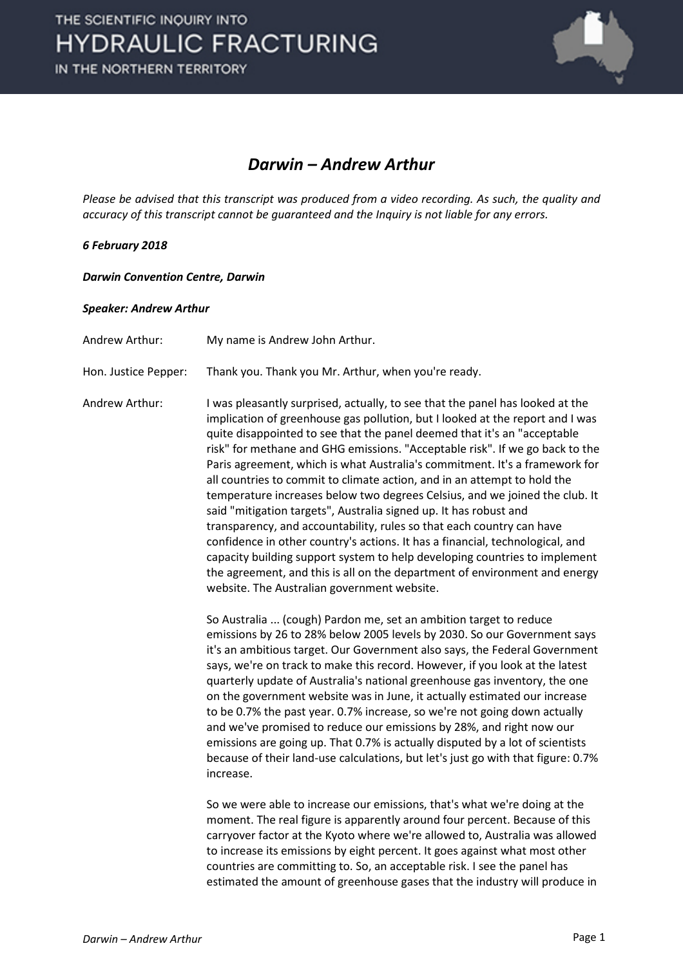

## *Darwin – Andrew Arthur*

*Please be advised that this transcript was produced from a video recording. As such, the quality and accuracy of this transcript cannot be guaranteed and the Inquiry is not liable for any errors.*

## *6 February 2018*

*Darwin Convention Centre, Darwin* 

## *Speaker: Andrew Arthur*

Andrew Arthur: My name is Andrew John Arthur.

Hon. Justice Pepper: Thank you. Thank you Mr. Arthur, when you're ready.

Andrew Arthur: I was pleasantly surprised, actually, to see that the panel has looked at the implication of greenhouse gas pollution, but I looked at the report and I was quite disappointed to see that the panel deemed that it's an "acceptable risk" for methane and GHG emissions. "Acceptable risk". If we go back to the Paris agreement, which is what Australia's commitment. It's a framework for all countries to commit to climate action, and in an attempt to hold the temperature increases below two degrees Celsius, and we joined the club. It said "mitigation targets", Australia signed up. It has robust and transparency, and accountability, rules so that each country can have confidence in other country's actions. It has a financial, technological, and capacity building support system to help developing countries to implement the agreement, and this is all on the department of environment and energy website. The Australian government website.

> So Australia ... (cough) Pardon me, set an ambition target to reduce emissions by 26 to 28% below 2005 levels by 2030. So our Government says it's an ambitious target. Our Government also says, the Federal Government says, we're on track to make this record. However, if you look at the latest quarterly update of Australia's national greenhouse gas inventory, the one on the government website was in June, it actually estimated our increase to be 0.7% the past year. 0.7% increase, so we're not going down actually and we've promised to reduce our emissions by 28%, and right now our emissions are going up. That 0.7% is actually disputed by a lot of scientists because of their land-use calculations, but let's just go with that figure: 0.7% increase.

> So we were able to increase our emissions, that's what we're doing at the moment. The real figure is apparently around four percent. Because of this carryover factor at the Kyoto where we're allowed to, Australia was allowed to increase its emissions by eight percent. It goes against what most other countries are committing to. So, an acceptable risk. I see the panel has estimated the amount of greenhouse gases that the industry will produce in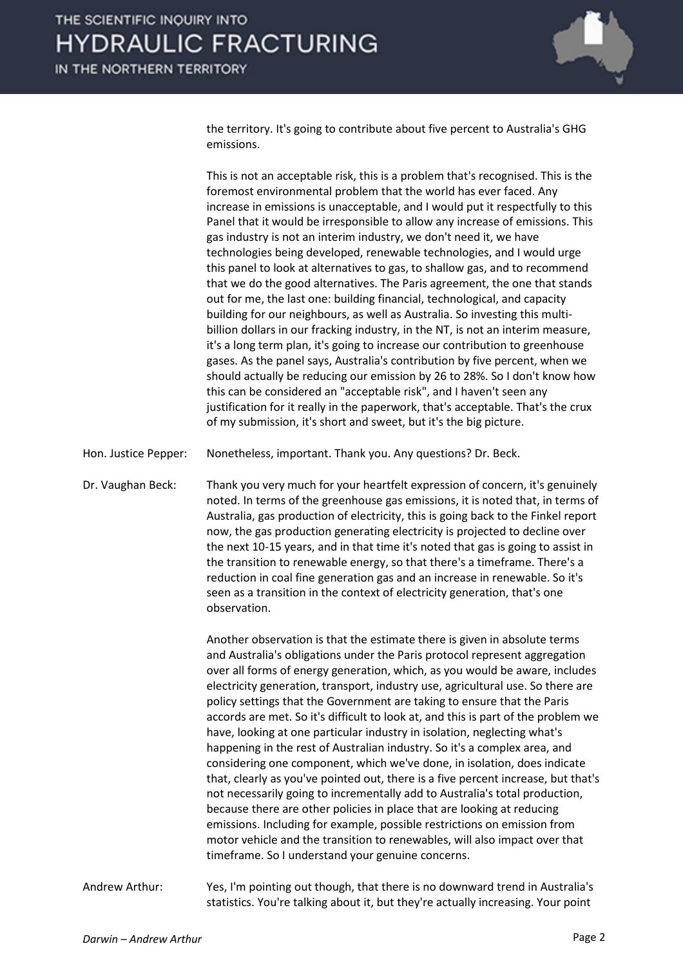

the territory. It's going to contribute about five percent to Australia's GHG emissions.

This is not an acceptable risk, this is a problem that's recognised. This is the foremost environmental problem that the world has ever faced. Any increase in emissions is unacceptable, and I would put it respectfully to this Panel that it would be irresponsible to allow any increase of emissions. This gas industry is not an interim industry, we don't need it, we have technologies being developed, renewable technologies, and I would urge this panel to look at alternatives to gas, to shallow gas, and to recommend that we do the good alternatives. The Paris agreement, the one that stands out for me, the last one: building financial, technological, and capacity building for our neighbours, as well as Australia. So investing this multibillion dollars in our fracking industry, in the NT, is not an interim measure, it's a long term plan, it's going to increase our contribution to greenhouse gases. As the panel says, Australia's contribution by five percent, when we should actually be reducing our emission by 26 to 28%. So I don't know how this can be considered an "acceptable risk", and I haven't seen any justification for it really in the paperwork, that's acceptable. That's the crux of my submission, it's short and sweet, but it's the big picture.

Hon. Justice Pepper: Nonetheless, important. Thank you. Any questions? Dr. Beck.

Dr. Vaughan Beck: Thank you very much for your heartfelt expression of concern, it's genuinely noted. In terms of the greenhouse gas emissions, it is noted that, in terms of Australia, gas production of electricity, this is going back to the Finkel report now, the gas production generating electricity is projected to decline over the next 10-15 years, and in that time it's noted that gas is going to assist in the transition to renewable energy, so that there's a timeframe. There's a reduction in coal fine generation gas and an increase in renewable. So it's seen as a transition in the context of electricity generation, that's one observation.

> Another observation is that the estimate there is given in absolute terms and Australia's obligations under the Paris protocol represent aggregation over all forms of energy generation, which, as you would be aware, includes electricity generation, transport, industry use, agricultural use. So there are policy settings that the Government are taking to ensure that the Paris accords are met. So it's difficult to look at, and this is part of the problem we have, looking at one particular industry in isolation, neglecting what's happening in the rest of Australian industry. So it's a complex area, and considering one component, which we've done, in isolation, does indicate that, clearly as you've pointed out, there is a five percent increase, but that's not necessarily going to incrementally add to Australia's total production, because there are other policies in place that are looking at reducing emissions. Including for example, possible restrictions on emission from motor vehicle and the transition to renewables, will also impact over that timeframe. So I understand your genuine concerns.

Andrew Arthur: Yes, I'm pointing out though, that there is no downward trend in Australia's statistics. You're talking about it, but they're actually increasing. Your point